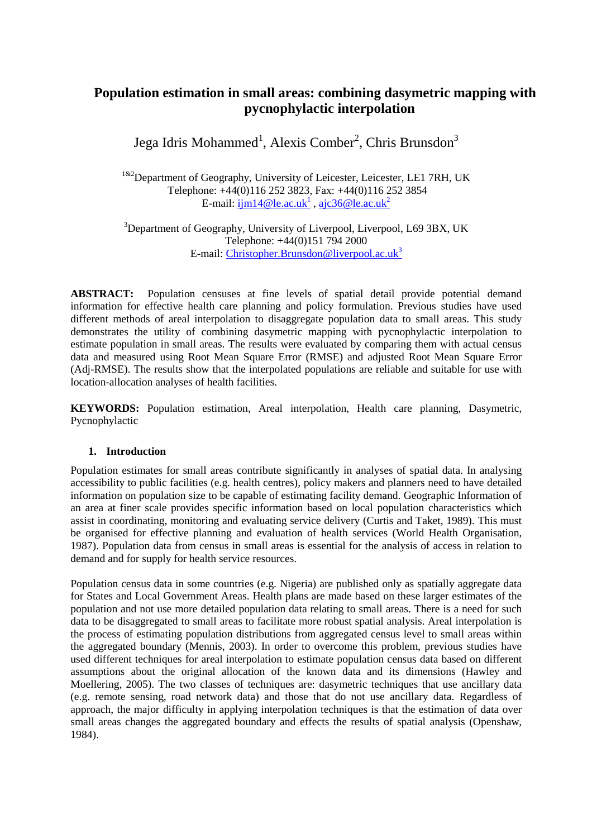# **Population estimation in small areas: combining dasymetric mapping with pycnophylactic interpolation**

Jega Idris Mohammed<sup>1</sup>, Alexis Comber<sup>2</sup>, Chris Brunsdon<sup>3</sup>

 $1^{182}$ Department of Geography, University of Leicester, Leicester, LE1 7RH, UK Telephone: +44(0)116 252 3823, Fax: +44(0)116 252 3854 E-mail: <u>ijm14@le.ac.uk<sup>1</sup>, ajc36@le.ac.uk<sup>2</sup></u>

 $3$ Department of Geography, University of Liverpool, Liverpool, L69 3BX, UK Telephone: +44(0)151 794 2000 E-mail: Christopher.Brunsdon@liverpool.ac.uk<sup>3</sup>

**ABSTRACT:** Population censuses at fine levels of spatial detail provide potential demand information for effective health care planning and policy formulation. Previous studies have used different methods of areal interpolation to disaggregate population data to small areas. This study demonstrates the utility of combining dasymetric mapping with pycnophylactic interpolation to estimate population in small areas. The results were evaluated by comparing them with actual census data and measured using Root Mean Square Error (RMSE) and adjusted Root Mean Square Error (Adj-RMSE). The results show that the interpolated populations are reliable and suitable for use with location-allocation analyses of health facilities.

**KEYWORDS:** Population estimation, Areal interpolation, Health care planning, Dasymetric, Pycnophylactic

#### **1. Introduction**

Population estimates for small areas contribute significantly in analyses of spatial data. In analysing accessibility to public facilities (e.g. health centres), policy makers and planners need to have detailed information on population size to be capable of estimating facility demand. Geographic Information of an area at finer scale provides specific information based on local population characteristics which assist in coordinating, monitoring and evaluating service delivery (Curtis and Taket, 1989). This must be organised for effective planning and evaluation of health services (World Health Organisation, 1987). Population data from census in small areas is essential for the analysis of access in relation to demand and for supply for health service resources.

Population census data in some countries (e.g. Nigeria) are published only as spatially aggregate data for States and Local Government Areas. Health plans are made based on these larger estimates of the population and not use more detailed population data relating to small areas. There is a need for such data to be disaggregated to small areas to facilitate more robust spatial analysis. Areal interpolation is the process of estimating population distributions from aggregated census level to small areas within the aggregated boundary (Mennis, 2003). In order to overcome this problem, previous studies have used different techniques for areal interpolation to estimate population census data based on different assumptions about the original allocation of the known data and its dimensions (Hawley and Moellering, 2005). The two classes of techniques are: dasymetric techniques that use ancillary data (e.g. remote sensing, road network data) and those that do not use ancillary data. Regardless of approach, the major difficulty in applying interpolation techniques is that the estimation of data over small areas changes the aggregated boundary and effects the results of spatial analysis (Openshaw, 1984).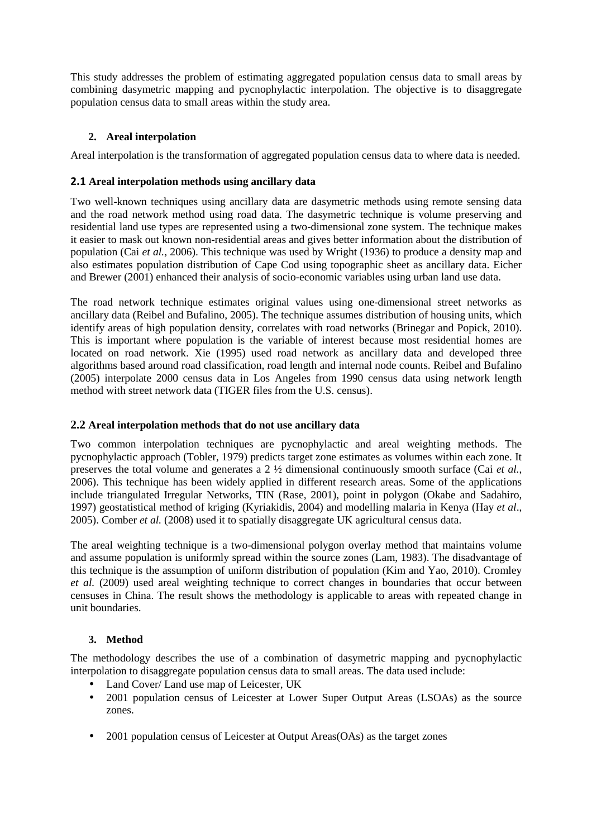This study addresses the problem of estimating aggregated population census data to small areas by combining dasymetric mapping and pycnophylactic interpolation. The objective is to disaggregate population census data to small areas within the study area.

# **2. Areal interpolation**

Areal interpolation is the transformation of aggregated population census data to where data is needed.

## **2.1 Areal interpolation methods using ancillary data**

Two well-known techniques using ancillary data are dasymetric methods using remote sensing data and the road network method using road data. The dasymetric technique is volume preserving and residential land use types are represented using a two-dimensional zone system. The technique makes it easier to mask out known non-residential areas and gives better information about the distribution of population (Cai *et al.,* 2006). This technique was used by Wright (1936) to produce a density map and also estimates population distribution of Cape Cod using topographic sheet as ancillary data. Eicher and Brewer (2001) enhanced their analysis of socio-economic variables using urban land use data.

The road network technique estimates original values using one-dimensional street networks as ancillary data (Reibel and Bufalino, 2005). The technique assumes distribution of housing units, which identify areas of high population density, correlates with road networks (Brinegar and Popick, 2010). This is important where population is the variable of interest because most residential homes are located on road network. Xie (1995) used road network as ancillary data and developed three algorithms based around road classification, road length and internal node counts. Reibel and Bufalino (2005) interpolate 2000 census data in Los Angeles from 1990 census data using network length method with street network data (TIGER files from the U.S. census).

## **2.2 Areal interpolation methods that do not use ancillary data**

Two common interpolation techniques are pycnophylactic and areal weighting methods. The pycnophylactic approach (Tobler, 1979) predicts target zone estimates as volumes within each zone. It preserves the total volume and generates a 2 ½ dimensional continuously smooth surface (Cai *et al.*, 2006). This technique has been widely applied in different research areas. Some of the applications include triangulated Irregular Networks, TIN (Rase, 2001), point in polygon (Okabe and Sadahiro, 1997) geostatistical method of kriging (Kyriakidis, 2004) and modelling malaria in Kenya (Hay *et al*., 2005). Comber *et al.* (2008) used it to spatially disaggregate UK agricultural census data.

The areal weighting technique is a two-dimensional polygon overlay method that maintains volume and assume population is uniformly spread within the source zones (Lam, 1983). The disadvantage of this technique is the assumption of uniform distribution of population (Kim and Yao, 2010). Cromley *et al.* (2009) used areal weighting technique to correct changes in boundaries that occur between censuses in China. The result shows the methodology is applicable to areas with repeated change in unit boundaries.

## **3. Method**

The methodology describes the use of a combination of dasymetric mapping and pycnophylactic interpolation to disaggregate population census data to small areas. The data used include:

- Land Cover/ Land use map of Leicester, UK
- 2001 population census of Leicester at Lower Super Output Areas (LSOAs) as the source zones.
- 2001 population census of Leicester at Output Areas(OAs) as the target zones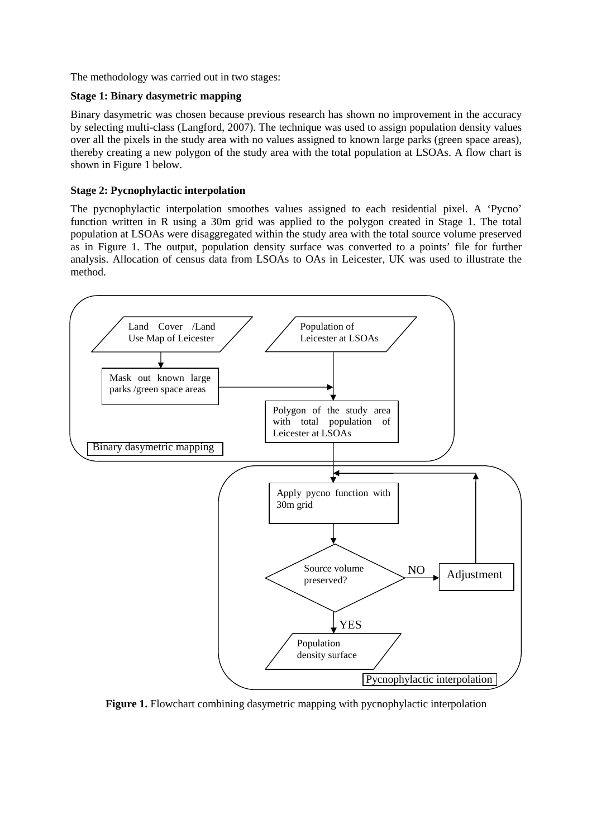The methodology was carried out in two stages:

#### **Stage 1: Binary dasymetric mapping**

Binary dasymetric was chosen because previous research has shown no improvement in the accuracy by selecting multi-class (Langford, 2007). The technique was used to assign population density values over all the pixels in the study area with no values assigned to known large parks (green space areas), thereby creating a new polygon of the study area with the total population at LSOAs. A flow chart is shown in Figure 1 below.

#### **Stage 2: Pycnophylactic interpolation**

The pycnophylactic interpolation smoothes values assigned to each residential pixel. A 'Pycno' function written in R using a 30m grid was applied to the polygon created in Stage 1. The total population at LSOAs were disaggregated within the study area with the total source volume preserved as in Figure 1. The output, population density surface was converted to a points' file for further analysis. Allocation of census data from LSOAs to OAs in Leicester, UK was used to illustrate the method.



**Figure 1.** Flowchart combining dasymetric mapping with pycnophylactic interpolation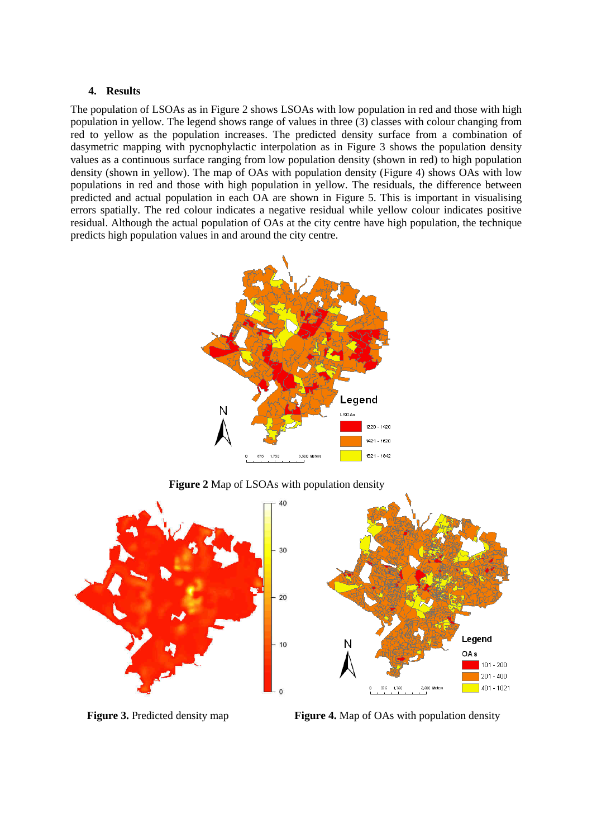#### **4. Results**

The population of LSOAs as in Figure 2 shows LSOAs with low population in red and those with high population in yellow. The legend shows range of values in three (3) classes with colour changing from red to yellow as the population increases. The predicted density surface from a combination of dasymetric mapping with pycnophylactic interpolation as in Figure 3 shows the population density values as a continuous surface ranging from low population density (shown in red) to high population density (shown in yellow). The map of OAs with population density (Figure 4) shows OAs with low populations in red and those with high population in yellow. The residuals, the difference between predicted and actual population in each OA are shown in Figure 5. This is important in visualising errors spatially. The red colour indicates a negative residual while yellow colour indicates positive residual. Although the actual population of OAs at the city centre have high population, the technique predicts high population values in and around the city centre.



 **Figure 2** Map of LSOAs with population density



**Figure 3.** Predicted density map **Figure 4.** Map of OAs with population density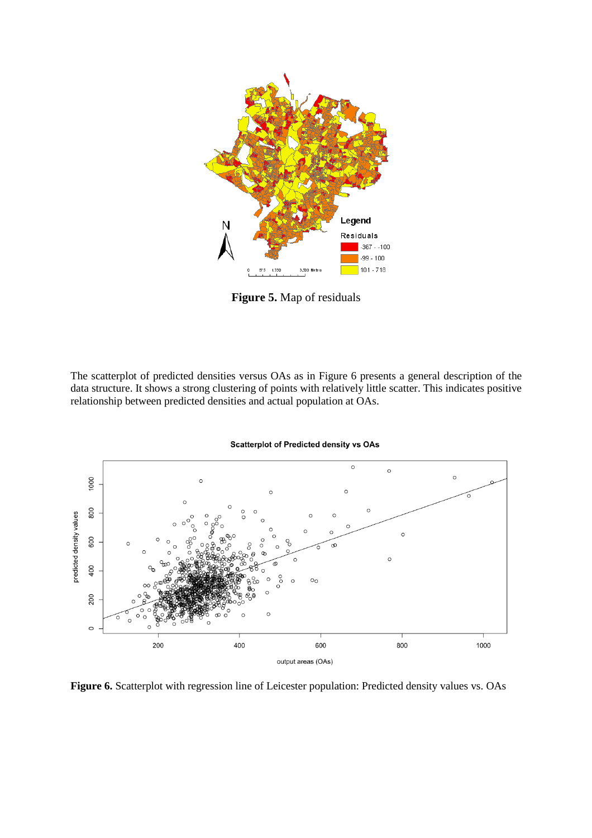

**Figure 5.** Map of residuals

The scatterplot of predicted densities versus OAs as in Figure 6 presents a general description of the data structure. It shows a strong clustering of points with relatively little scatter. This indicates positive relationship between predicted densities and actual population at OAs.



**Figure 6.** Scatterplot with regression line of Leicester population: Predicted density values vs. OAs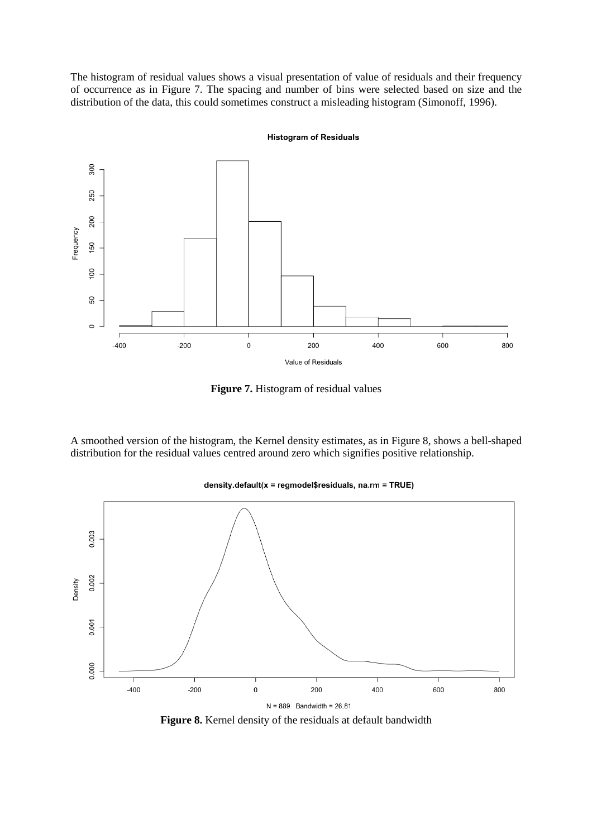The histogram of residual values shows a visual presentation of value of residuals and their frequency of occurrence as in Figure 7. The spacing and number of bins were selected based on size and the distribution of the data, this could sometimes construct a misleading histogram (Simonoff, 1996).



**Histogram of Residuals** 

**Figure 7.** Histogram of residual values

A smoothed version of the histogram, the Kernel density estimates, as in Figure 8, shows a bell-shaped distribution for the residual values centred around zero which signifies positive relationship.



#### density.default(x = regmodel\$residuals, na.rm = TRUE)

**Figure 8.** Kernel density of the residuals at default bandwidth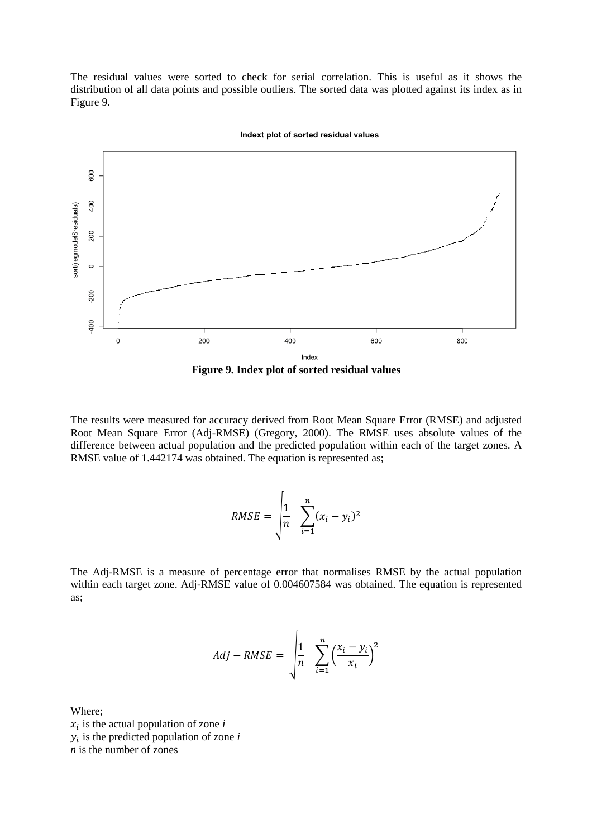The residual values were sorted to check for serial correlation. This is useful as it shows the distribution of all data points and possible outliers. The sorted data was plotted against its index as in Figure 9.



Indext plot of sorted residual values

**Figure 9. Index plot of sorted residual values** 

The results were measured for accuracy derived from Root Mean Square Error (RMSE) and adjusted Root Mean Square Error (Adj-RMSE) (Gregory, 2000). The RMSE uses absolute values of the difference between actual population and the predicted population within each of the target zones. A RMSE value of 1.442174 was obtained. The equation is represented as;

$$
RMSE = \sqrt{\frac{1}{n} \sum_{i=1}^{n} (x_i - y_i)^2}
$$

The Adj-RMSE is a measure of percentage error that normalises RMSE by the actual population within each target zone. Adj-RMSE value of 0.004607584 was obtained. The equation is represented as;

$$
Adj - RMSE = \sqrt{\frac{1}{n} \sum_{i=1}^{n} \left(\frac{x_i - y_i}{x_i}\right)^2}
$$

Where;  $x_i$  is the actual population of zone  $i$  $y_i$  is the predicted population of zone  $i$ *n* is the number of zones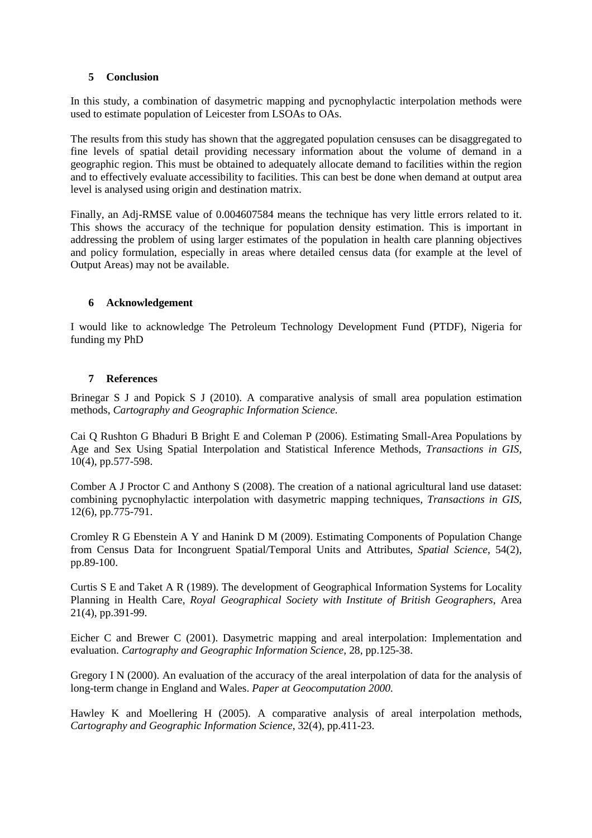#### **5 Conclusion**

In this study, a combination of dasymetric mapping and pycnophylactic interpolation methods were used to estimate population of Leicester from LSOAs to OAs.

The results from this study has shown that the aggregated population censuses can be disaggregated to fine levels of spatial detail providing necessary information about the volume of demand in a geographic region. This must be obtained to adequately allocate demand to facilities within the region and to effectively evaluate accessibility to facilities. This can best be done when demand at output area level is analysed using origin and destination matrix.

Finally, an Adj-RMSE value of 0.004607584 means the technique has very little errors related to it. This shows the accuracy of the technique for population density estimation. This is important in addressing the problem of using larger estimates of the population in health care planning objectives and policy formulation, especially in areas where detailed census data (for example at the level of Output Areas) may not be available.

#### **6 Acknowledgement**

I would like to acknowledge The Petroleum Technology Development Fund (PTDF), Nigeria for funding my PhD

#### **7 References**

Brinegar S J and Popick S J (2010). A comparative analysis of small area population estimation methods, *Cartography and Geographic Information Science.*

Cai Q Rushton G Bhaduri B Bright E and Coleman P (2006). Estimating Small-Area Populations by Age and Sex Using Spatial Interpolation and Statistical Inference Methods, *Transactions in GIS*, 10(4), pp.577-598.

Comber A J Proctor C and Anthony S (2008). The creation of a national agricultural land use dataset: combining pycnophylactic interpolation with dasymetric mapping techniques, *Transactions in GIS*, 12(6), pp.775-791.

Cromley R G Ebenstein A Y and Hanink D M (2009). Estimating Components of Population Change from Census Data for Incongruent Spatial/Temporal Units and Attributes, *Spatial Science*, 54(2), pp.89-100.

Curtis S E and Taket A R (1989). The development of Geographical Information Systems for Locality Planning in Health Care, *Royal Geographical Society with Institute of British Geographers*, Area 21(4), pp.391-99.

Eicher C and Brewer C (2001). Dasymetric mapping and areal interpolation: Implementation and evaluation. *Cartography and Geographic Information Science,* 28, pp.125-38.

Gregory I N (2000). An evaluation of the accuracy of the areal interpolation of data for the analysis of long-term change in England and Wales. *Paper at Geocomputation 2000.*

Hawley K and Moellering H (2005). A comparative analysis of areal interpolation methods, *Cartography and Geographic Information Science*, 32(4), pp.411-23.